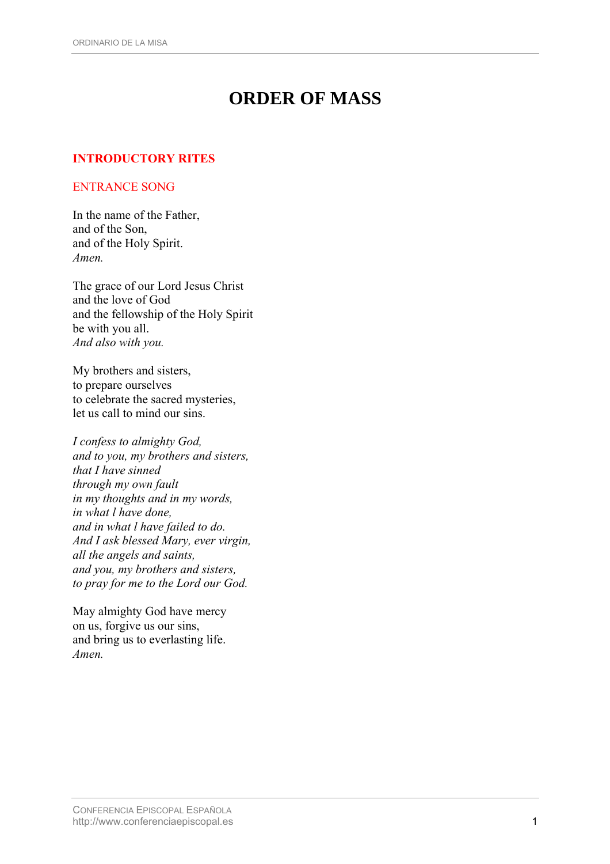# **ORDER OF MASS**

# **INTRODUCTORY RITES**

## ENTRANCE SONG

In the name of the Father, and of the Son, and of the Holy Spirit. *Amen.* 

The grace of our Lord Jesus Christ and the love of God and the fellowship of the Holy Spirit be with you all. *And also with you.* 

My brothers and sisters, to prepare ourselves to celebrate the sacred mysteries, let us call to mind our sins.

*I confess to almighty God, and to you, my brothers and sisters, that I have sinned through my own fault in my thoughts and in my words, in what l have done, and in what l have failed to do. And I ask blessed Mary, ever virgin, all the angels and saints, and you, my brothers and sisters, to pray for me to the Lord our God.* 

May almighty God have mercy on us, forgive us our sins, and bring us to everlasting life. *Amen.*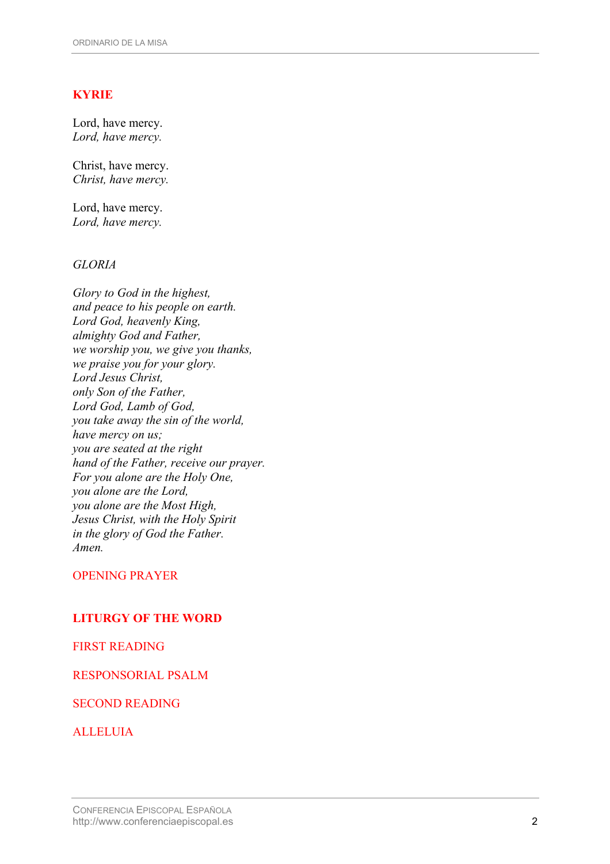## **KYRIE**

Lord, have mercy. *Lord, have mercy.* 

Christ, have mercy. *Christ, have mercy.* 

Lord, have mercy. *Lord, have mercy.* 

## *GLORIA*

*Glory to God in the highest, and peace to his people on earth. Lord God, heavenly King, almighty God and Father, we worship you, we give you thanks, we praise you for your glory. Lord Jesus Christ, only Son of the Father, Lord God, Lamb of God, you take away the sin of the world, have mercy on us; you are seated at the right hand of the Father, receive our prayer. For you alone are the Holy One, you alone are the Lord, you alone are the Most High, Jesus Christ, with the Holy Spirit in the glory of God the Father. Amen.* 

#### OPENING PRAYER

#### **LITURGY OF THE WORD**

## FIRST READING

RESPONSORIAL PSALM

## SECOND READING

#### **ALLELUIA**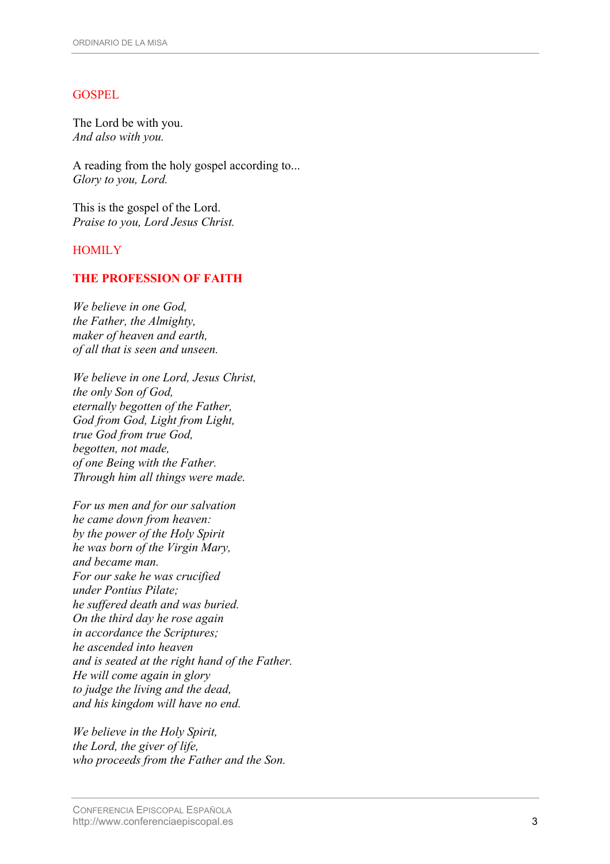#### **GOSPEL**

The Lord be with you. *And also with you.* 

A reading from the holy gospel according to... *Glory to you, Lord.* 

This is the gospel of the Lord. *Praise to you, Lord Jesus Christ.* 

#### **HOMILY**

### **THE PROFESSION OF FAITH**

*We believe in one God, the Father, the Almighty, maker of heaven and earth, of all that is seen and unseen.* 

*We believe in one Lord, Jesus Christ, the only Son of God, eternally begotten of the Father, God from God, Light from Light, true God from true God, begotten, not made, of one Being with the Father. Through him all things were made.* 

*For us men and for our salvation he came down from heaven: by the power of the Holy Spirit he was born of the Virgin Mary, and became man. For our sake he was crucified under Pontius Pilate; he suffered death and was buried. On the third day he rose again in accordance the Scriptures; he ascended into heaven and is seated at the right hand of the Father. He will come again in glory to judge the living and the dead, and his kingdom will have no end.* 

*We believe in the Holy Spirit, the Lord, the giver of life, who proceeds from the Father and the Son.*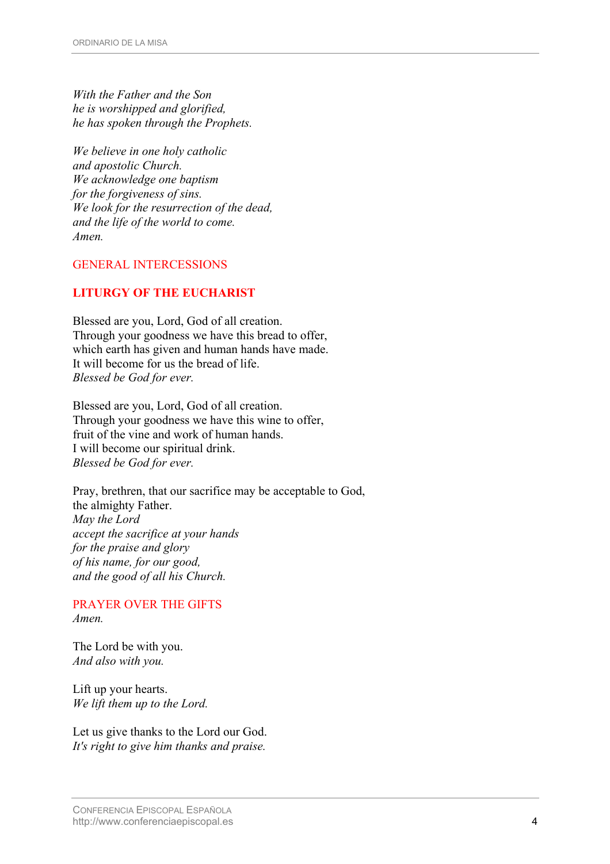*With the Father and the Son he is worshipped and glorified, he has spoken through the Prophets.* 

*We believe in one holy catholic and apostolic Church. We acknowledge one baptism for the forgiveness of sins. We look for the resurrection of the dead, and the life of the world to come. Amen.* 

## GENERAL INTERCESSIONS

## **LITURGY OF THE EUCHARIST**

Blessed are you, Lord, God of all creation. Through your goodness we have this bread to offer, which earth has given and human hands have made. It will become for us the bread of life. *Blessed be God for ever.* 

Blessed are you, Lord, God of all creation. Through your goodness we have this wine to offer, fruit of the vine and work of human hands. I will become our spiritual drink. *Blessed be God for ever.* 

Pray, brethren, that our sacrifice may be acceptable to God, the almighty Father. *May the Lord accept the sacrifice at your hands for the praise and glory of his name, for our good, and the good of all his Church.* 

PRAYER OVER THE GIFTS *Amen.* 

The Lord be with you. *And also with you.* 

Lift up your hearts. *We lift them up to the Lord.* 

Let us give thanks to the Lord our God. *It's right to give him thanks and praise.*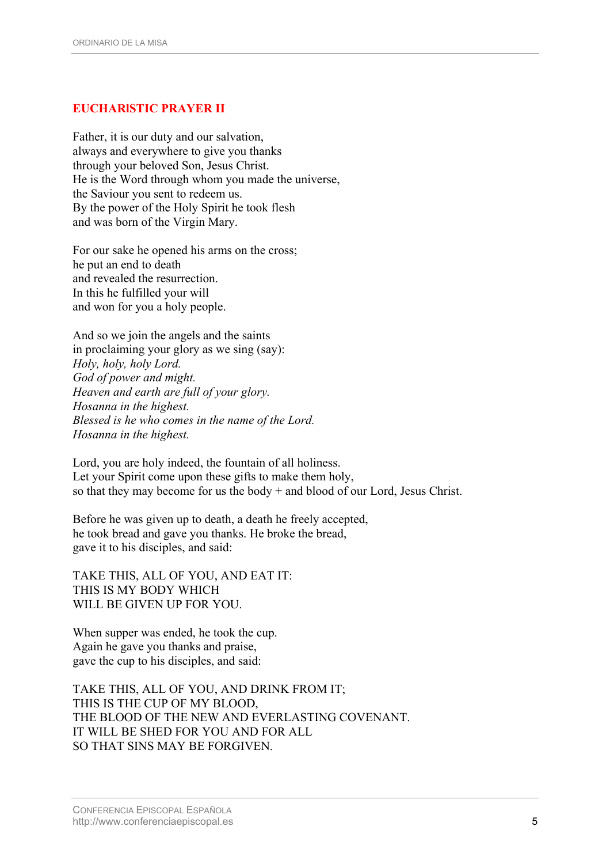## **EUCHARlSTIC PRAYER II**

Father, it is our duty and our salvation, always and everywhere to give you thanks through your beloved Son, Jesus Christ. He is the Word through whom you made the universe, the Saviour you sent to redeem us. By the power of the Holy Spirit he took flesh and was born of the Virgin Mary.

For our sake he opened his arms on the cross; he put an end to death and revealed the resurrection. In this he fulfilled your will and won for you a holy people.

And so we join the angels and the saints in proclaiming your glory as we sing (say): *Holy, holy, holy Lord. God of power and might. Heaven and earth are full of your glory. Hosanna in the highest. Blessed is he who comes in the name of the Lord. Hosanna in the highest.* 

Lord, you are holy indeed, the fountain of all holiness. Let your Spirit come upon these gifts to make them holy, so that they may become for us the body + and blood of our Lord, Jesus Christ.

Before he was given up to death, a death he freely accepted, he took bread and gave you thanks. He broke the bread, gave it to his disciples, and said:

TAKE THIS, ALL OF YOU, AND EAT IT: THIS IS MY BODY WHICH WILL BE GIVEN UP FOR YOU.

When supper was ended, he took the cup. Again he gave you thanks and praise, gave the cup to his disciples, and said:

TAKE THIS, ALL OF YOU, AND DRINK FROM IT; THIS IS THE CUP OF MY BLOOD, THE BLOOD OF THE NEW AND EVERLASTING COVENANT. IT WILL BE SHED FOR YOU AND FOR ALL SO THAT SINS MAY BE FORGIVEN.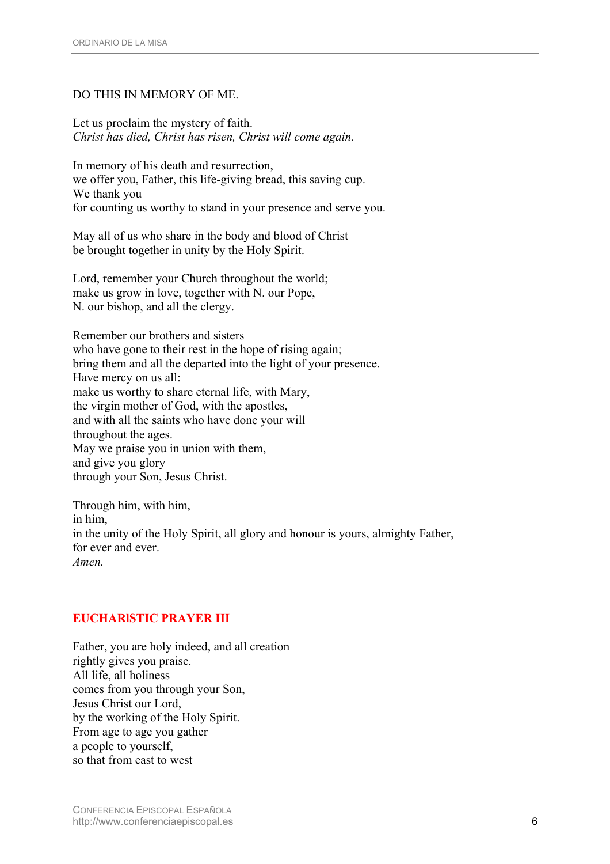## DO THIS IN MEMORY OF ME.

Let us proclaim the mystery of faith. *Christ has died, Christ has risen, Christ will come again.* 

In memory of his death and resurrection, we offer you, Father, this life-giving bread, this saving cup. We thank you for counting us worthy to stand in your presence and serve you.

May all of us who share in the body and blood of Christ be brought together in unity by the Holy Spirit.

Lord, remember your Church throughout the world; make us grow in love, together with N. our Pope, N. our bishop, and all the clergy.

Remember our brothers and sisters who have gone to their rest in the hope of rising again; bring them and all the departed into the light of your presence. Have mercy on us all: make us worthy to share eternal life, with Mary, the virgin mother of God, with the apostles, and with all the saints who have done your will throughout the ages. May we praise you in union with them, and give you glory through your Son, Jesus Christ.

Through him, with him, in him, in the unity of the Holy Spirit, all glory and honour is yours, almighty Father, for ever and ever. *Amen.* 

#### **EUCHARlSTIC PRAYER III**

Father, you are holy indeed, and all creation rightly gives you praise. All life, all holiness comes from you through your Son, Jesus Christ our Lord, by the working of the Holy Spirit. From age to age you gather a people to yourself, so that from east to west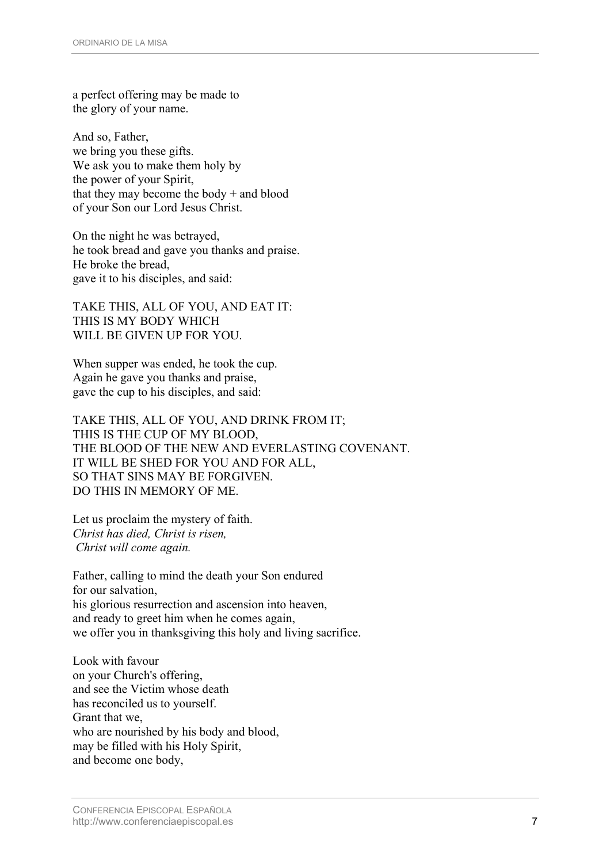a perfect offering may be made to the glory of your name.

And so, Father, we bring you these gifts. We ask you to make them holy by the power of your Spirit, that they may become the body  $+$  and blood of your Son our Lord Jesus Christ.

On the night he was betrayed, he took bread and gave you thanks and praise. He broke the bread, gave it to his disciples, and said:

TAKE THIS, ALL OF YOU, AND EAT IT: THIS IS MY BODY WHICH WILL BE GIVEN UP FOR YOU.

When supper was ended, he took the cup. Again he gave you thanks and praise, gave the cup to his disciples, and said:

TAKE THIS, ALL OF YOU, AND DRINK FROM IT; THIS IS THE CUP OF MY BLOOD, THE BLOOD OF THE NEW AND EVERLASTING COVENANT. IT WILL BE SHED FOR YOU AND FOR ALL, SO THAT SINS MAY BE FORGIVEN. DO THIS IN MEMORY OF ME.

Let us proclaim the mystery of faith. *Christ has died, Christ is risen, Christ will come again.* 

Father, calling to mind the death your Son endured for our salvation, his glorious resurrection and ascension into heaven, and ready to greet him when he comes again, we offer you in thanksgiving this holy and living sacrifice.

Look with favour on your Church's offering, and see the Victim whose death has reconciled us to yourself. Grant that we, who are nourished by his body and blood, may be filled with his Holy Spirit, and become one body,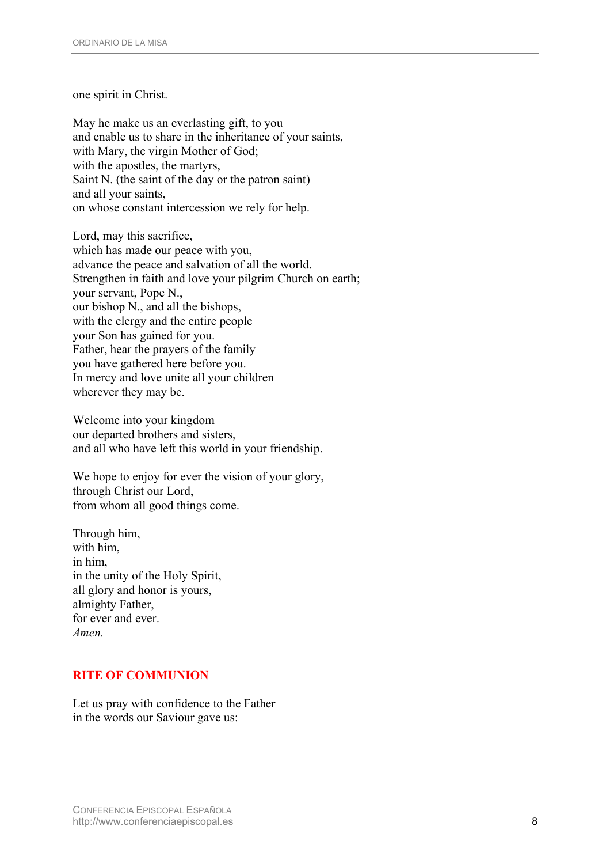one spirit in Christ.

May he make us an everlasting gift, to you and enable us to share in the inheritance of your saints, with Mary, the virgin Mother of God; with the apostles, the martyrs, Saint N. (the saint of the day or the patron saint) and all your saints, on whose constant intercession we rely for help.

Lord, may this sacrifice, which has made our peace with you, advance the peace and salvation of all the world. Strengthen in faith and love your pilgrim Church on earth; your servant, Pope N., our bishop N., and all the bishops, with the clergy and the entire people your Son has gained for you. Father, hear the prayers of the family you have gathered here before you. In mercy and love unite all your children wherever they may be.

Welcome into your kingdom our departed brothers and sisters, and all who have left this world in your friendship.

We hope to enjoy for ever the vision of your glory, through Christ our Lord, from whom all good things come.

Through him, with him, in him, in the unity of the Holy Spirit, all glory and honor is yours, almighty Father, for ever and ever. *Amen.* 

## **RITE OF COMMUNION**

Let us pray with confidence to the Father in the words our Saviour gave us: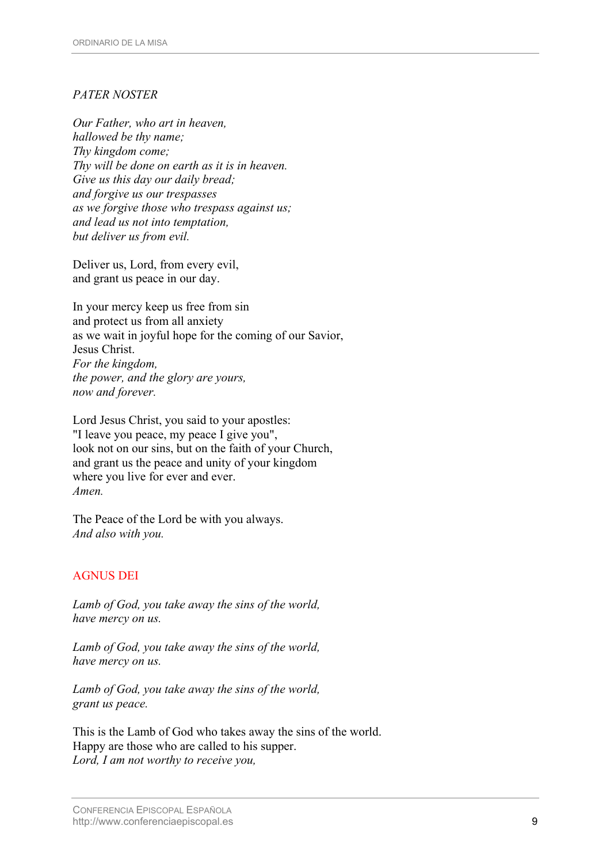# *PATER NOSTER*

*Our Father, who art in heaven, hallowed be thy name; Thy kingdom come; Thy will be done on earth as it is in heaven. Give us this day our daily bread; and forgive us our trespasses as we forgive those who trespass against us; and lead us not into temptation, but deliver us from evil.* 

Deliver us, Lord, from every evil, and grant us peace in our day.

In your mercy keep us free from sin and protect us from all anxiety as we wait in joyful hope for the coming of our Savior, Jesus Christ. *For the kingdom, the power, and the glory are yours, now and forever.* 

Lord Jesus Christ, you said to your apostles: "I leave you peace, my peace I give you", look not on our sins, but on the faith of your Church, and grant us the peace and unity of your kingdom where you live for ever and ever. *Amen.* 

The Peace of the Lord be with you always. *And also with you.* 

# AGNUS DEI

*Lamb of God, you take away the sins of the world, have mercy on us.* 

*Lamb of God, you take away the sins of the world, have mercy on us.* 

*Lamb of God, you take away the sins of the world, grant us peace.* 

This is the Lamb of God who takes away the sins of the world. Happy are those who are called to his supper. *Lord, I am not worthy to receive you,*